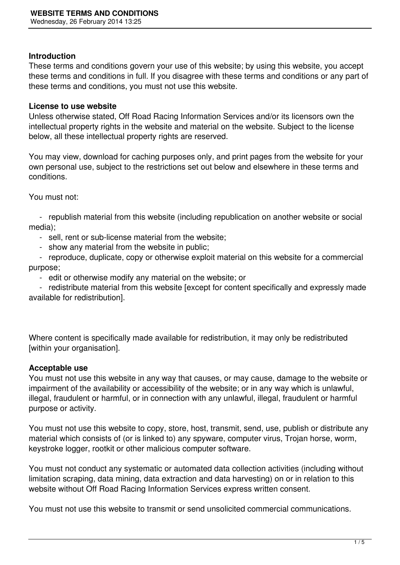### **Introduction**

These terms and conditions govern your use of this website; by using this website, you accept these terms and conditions in full. If you disagree with these terms and conditions or any part of these terms and conditions, you must not use this website.

#### **License to use website**

Unless otherwise stated, Off Road Racing Information Services and/or its licensors own the intellectual property rights in the website and material on the website. Subject to the license below, all these intellectual property rights are reserved.

You may view, download for caching purposes only, and print pages from the website for your own personal use, subject to the restrictions set out below and elsewhere in these terms and conditions.

You must not:

 - republish material from this website (including republication on another website or social media);

- sell, rent or sub-license material from the website;
- show any material from the website in public;

 - reproduce, duplicate, copy or otherwise exploit material on this website for a commercial purpose;

- edit or otherwise modify any material on the website; or

 - redistribute material from this website [except for content specifically and expressly made available for redistribution].

Where content is specifically made available for redistribution, it may only be redistributed [within your organisation].

## **Acceptable use**

You must not use this website in any way that causes, or may cause, damage to the website or impairment of the availability or accessibility of the website; or in any way which is unlawful, illegal, fraudulent or harmful, or in connection with any unlawful, illegal, fraudulent or harmful purpose or activity.

You must not use this website to copy, store, host, transmit, send, use, publish or distribute any material which consists of (or is linked to) any spyware, computer virus, Trojan horse, worm, keystroke logger, rootkit or other malicious computer software.

You must not conduct any systematic or automated data collection activities (including without limitation scraping, data mining, data extraction and data harvesting) on or in relation to this website without Off Road Racing Information Services express written consent.

You must not use this website to transmit or send unsolicited commercial communications.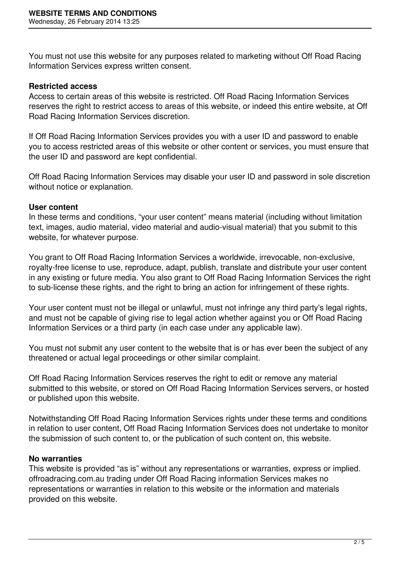You must not use this website for any purposes related to marketing without Off Road Racing Information Services express written consent.

## **Restricted access**

Access to certain areas of this website is restricted. Off Road Racing Information Services reserves the right to restrict access to areas of this website, or indeed this entire website, at Off Road Racing Information Services discretion.

If Off Road Racing Information Services provides you with a user ID and password to enable you to access restricted areas of this website or other content or services, you must ensure that the user ID and password are kept confidential.

Off Road Racing Information Services may disable your user ID and password in sole discretion without notice or explanation.

### **User content**

In these terms and conditions, "your user content" means material (including without limitation text, images, audio material, video material and audio-visual material) that you submit to this website, for whatever purpose.

You grant to Off Road Racing Information Services a worldwide, irrevocable, non-exclusive, royalty-free license to use, reproduce, adapt, publish, translate and distribute your user content in any existing or future media. You also grant to Off Road Racing Information Services the right to sub-license these rights, and the right to bring an action for infringement of these rights.

Your user content must not be illegal or unlawful, must not infringe any third party's legal rights, and must not be capable of giving rise to legal action whether against you or Off Road Racing Information Services or a third party (in each case under any applicable law).

You must not submit any user content to the website that is or has ever been the subject of any threatened or actual legal proceedings or other similar complaint.

Off Road Racing Information Services reserves the right to edit or remove any material submitted to this website, or stored on Off Road Racing Information Services servers, or hosted or published upon this website.

Notwithstanding Off Road Racing Information Services rights under these terms and conditions in relation to user content, Off Road Racing Information Services does not undertake to monitor the submission of such content to, or the publication of such content on, this website.

## **No warranties**

This website is provided "as is" without any representations or warranties, express or implied. offroadracing.com.au trading under Off Road Racing information Services makes no representations or warranties in relation to this website or the information and materials provided on this website.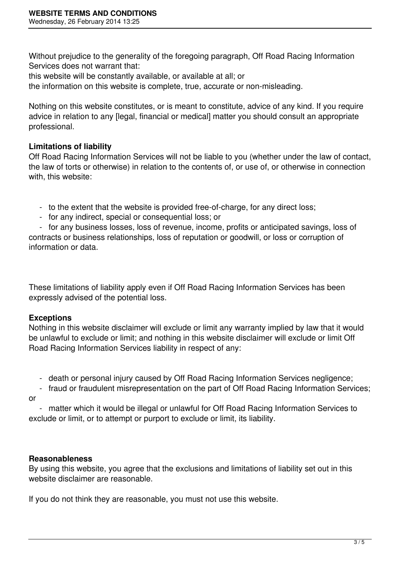Without prejudice to the generality of the foregoing paragraph, Off Road Racing Information Services does not warrant that:

this website will be constantly available, or available at all; or

the information on this website is complete, true, accurate or non-misleading.

Nothing on this website constitutes, or is meant to constitute, advice of any kind. If you require advice in relation to any [legal, financial or medical] matter you should consult an appropriate professional.

# **Limitations of liability**

Off Road Racing Information Services will not be liable to you (whether under the law of contact, the law of torts or otherwise) in relation to the contents of, or use of, or otherwise in connection with, this website:

- to the extent that the website is provided free-of-charge, for any direct loss;
- for any indirect, special or consequential loss; or

 - for any business losses, loss of revenue, income, profits or anticipated savings, loss of contracts or business relationships, loss of reputation or goodwill, or loss or corruption of information or data.

These limitations of liability apply even if Off Road Racing Information Services has been expressly advised of the potential loss.

# **Exceptions**

Nothing in this website disclaimer will exclude or limit any warranty implied by law that it would be unlawful to exclude or limit; and nothing in this website disclaimer will exclude or limit Off Road Racing Information Services liability in respect of any:

- death or personal injury caused by Off Road Racing Information Services negligence;
- fraud or fraudulent misrepresentation on the part of Off Road Racing Information Services;

or

 - matter which it would be illegal or unlawful for Off Road Racing Information Services to exclude or limit, or to attempt or purport to exclude or limit, its liability.

## **Reasonableness**

By using this website, you agree that the exclusions and limitations of liability set out in this website disclaimer are reasonable.

If you do not think they are reasonable, you must not use this website.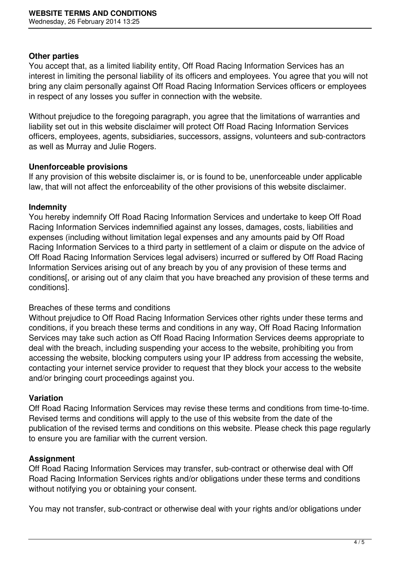### **Other parties**

You accept that, as a limited liability entity, Off Road Racing Information Services has an interest in limiting the personal liability of its officers and employees. You agree that you will not bring any claim personally against Off Road Racing Information Services officers or employees in respect of any losses you suffer in connection with the website.

Without prejudice to the foregoing paragraph, you agree that the limitations of warranties and liability set out in this website disclaimer will protect Off Road Racing Information Services officers, employees, agents, subsidiaries, successors, assigns, volunteers and sub-contractors as well as Murray and Julie Rogers.

### **Unenforceable provisions**

If any provision of this website disclaimer is, or is found to be, unenforceable under applicable law, that will not affect the enforceability of the other provisions of this website disclaimer.

### **Indemnity**

You hereby indemnify Off Road Racing Information Services and undertake to keep Off Road Racing Information Services indemnified against any losses, damages, costs, liabilities and expenses (including without limitation legal expenses and any amounts paid by Off Road Racing Information Services to a third party in settlement of a claim or dispute on the advice of Off Road Racing Information Services legal advisers) incurred or suffered by Off Road Racing Information Services arising out of any breach by you of any provision of these terms and conditions[, or arising out of any claim that you have breached any provision of these terms and conditions].

## Breaches of these terms and conditions

Without prejudice to Off Road Racing Information Services other rights under these terms and conditions, if you breach these terms and conditions in any way, Off Road Racing Information Services may take such action as Off Road Racing Information Services deems appropriate to deal with the breach, including suspending your access to the website, prohibiting you from accessing the website, blocking computers using your IP address from accessing the website, contacting your internet service provider to request that they block your access to the website and/or bringing court proceedings against you.

## **Variation**

Off Road Racing Information Services may revise these terms and conditions from time-to-time. Revised terms and conditions will apply to the use of this website from the date of the publication of the revised terms and conditions on this website. Please check this page regularly to ensure you are familiar with the current version.

## **Assignment**

Off Road Racing Information Services may transfer, sub-contract or otherwise deal with Off Road Racing Information Services rights and/or obligations under these terms and conditions without notifying you or obtaining your consent.

You may not transfer, sub-contract or otherwise deal with your rights and/or obligations under